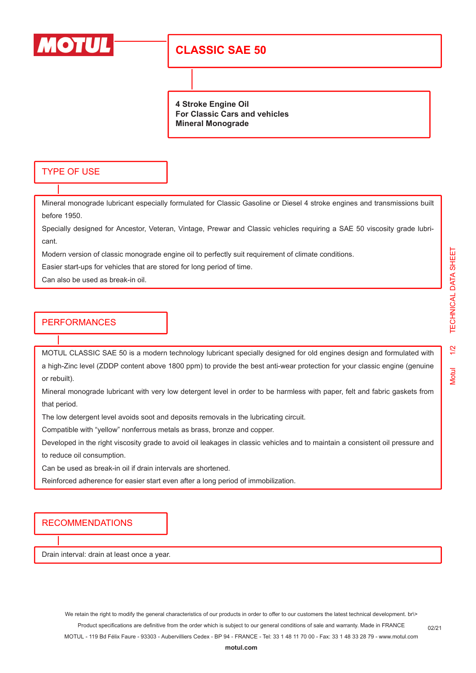

## **CLASSIC SAE 50**

**4 Stroke Engine Oil For Classic Cars and vehicles Mineral Monograde**

#### TYPE OF USE

Mineral monograde lubricant especially formulated for Classic Gasoline or Diesel 4 stroke engines and transmissions built before 1950.

Specially designed for Ancestor, Veteran, Vintage, Prewar and Classic vehicles requiring a SAE 50 viscosity grade lubricant.

Modern version of classic monograde engine oil to perfectly suit requirement of climate conditions.

Easier start-ups for vehicles that are stored for long period of time.

Can also be used as break-in oil.

#### **PERFORMANCES**

MOTUL CLASSIC SAE 50 is a modern technology lubricant specially designed for old engines design and formulated with a high-Zinc level (ZDDP content above 1800 ppm) to provide the best anti-wear protection for your classic engine (genuine or rebuilt).

Mineral monograde lubricant with very low detergent level in order to be harmless with paper, felt and fabric gaskets from that period.

The low detergent level avoids soot and deposits removals in the lubricating circuit.

Compatible with "yellow" nonferrous metals as brass, bronze and copper.

Developed in the right viscosity grade to avoid oil leakages in classic vehicles and to maintain a consistent oil pressure and to reduce oil consumption.

Can be used as break-in oil if drain intervals are shortened.

Reinforced adherence for easier start even after a long period of immobilization.

RECOMMENDATIONS

Drain interval: drain at least once a year.

**Motul** 

02/21